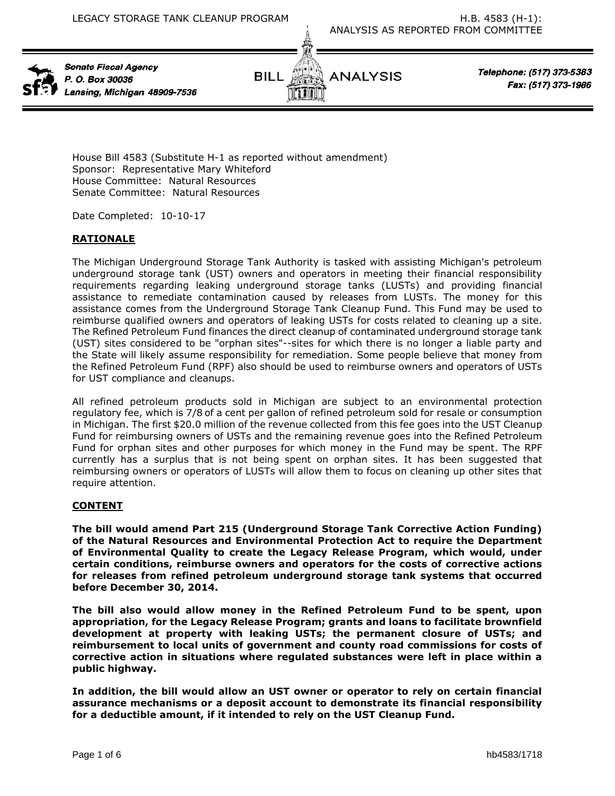

Senate Fiscal Agency P. O. Box 30036 Lansing, Michigan 48909-7536



Telephone: (517) 373-5383 Fax: (517) 373-1986

House Bill 4583 (Substitute H-1 as reported without amendment) Sponsor: Representative Mary Whiteford House Committee: Natural Resources Senate Committee: Natural Resources

Date Completed: 10-10-17

## **RATIONALE**

The Michigan Underground Storage Tank Authority is tasked with assisting Michigan's petroleum underground storage tank (UST) owners and operators in meeting their financial responsibility requirements regarding leaking underground storage tanks (LUSTs) and providing financial assistance to remediate contamination caused by releases from LUSTs. The money for this assistance comes from the Underground Storage Tank Cleanup Fund. This Fund may be used to reimburse qualified owners and operators of leaking USTs for costs related to cleaning up a site. The Refined Petroleum Fund finances the direct cleanup of contaminated underground storage tank (UST) sites considered to be "orphan sites"--sites for which there is no longer a liable party and the State will likely assume responsibility for remediation. Some people believe that money from the Refined Petroleum Fund (RPF) also should be used to reimburse owners and operators of USTs for UST compliance and cleanups.

All refined petroleum products sold in Michigan are subject to an environmental protection regulatory fee, which is 7/8 of a cent per gallon of refined petroleum sold for resale or consumption in Michigan. The first \$20.0 million of the revenue collected from this fee goes into the UST Cleanup Fund for reimbursing owners of USTs and the remaining revenue goes into the Refined Petroleum Fund for orphan sites and other purposes for which money in the Fund may be spent. The RPF currently has a surplus that is not being spent on orphan sites. It has been suggested that reimbursing owners or operators of LUSTs will allow them to focus on cleaning up other sites that require attention.

### **CONTENT**

**The bill would amend Part 215 (Underground Storage Tank Corrective Action Funding) of the Natural Resources and Environmental Protection Act to require the Department of Environmental Quality to create the Legacy Release Program, which would, under certain conditions, reimburse owners and operators for the costs of corrective actions for releases from refined petroleum underground storage tank systems that occurred before December 30, 2014.** 

**The bill also would allow money in the Refined Petroleum Fund to be spent, upon appropriation, for the Legacy Release Program; grants and loans to facilitate brownfield development at property with leaking USTs; the permanent closure of USTs; and reimbursement to local units of government and county road commissions for costs of corrective action in situations where regulated substances were left in place within a public highway.**

**In addition, the bill would allow an UST owner or operator to rely on certain financial assurance mechanisms or a deposit account to demonstrate its financial responsibility for a deductible amount, if it intended to rely on the UST Cleanup Fund.**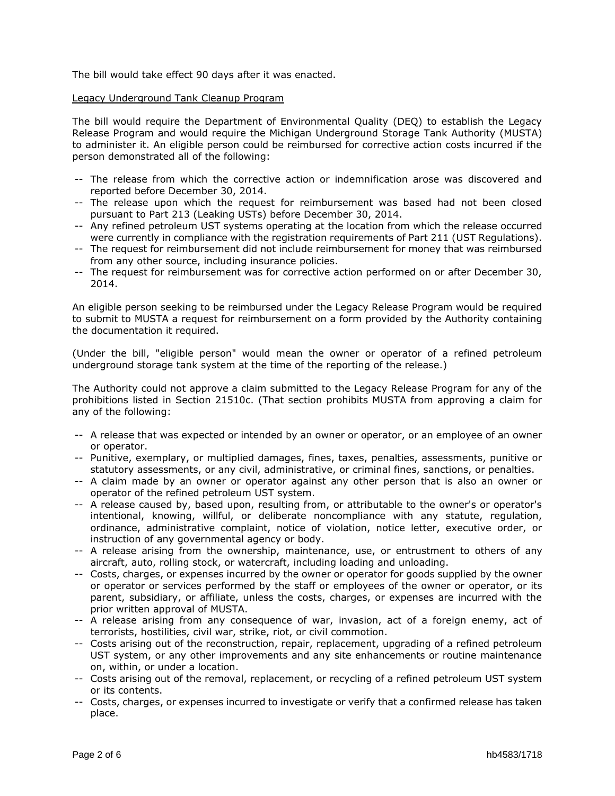The bill would take effect 90 days after it was enacted.

#### Legacy Underground Tank Cleanup Program

The bill would require the Department of Environmental Quality (DEQ) to establish the Legacy Release Program and would require the Michigan Underground Storage Tank Authority (MUSTA) to administer it. An eligible person could be reimbursed for corrective action costs incurred if the person demonstrated all of the following:

- -- The release from which the corrective action or indemnification arose was discovered and reported before December 30, 2014.
- -- The release upon which the request for reimbursement was based had not been closed pursuant to Part 213 (Leaking USTs) before December 30, 2014.
- -- Any refined petroleum UST systems operating at the location from which the release occurred were currently in compliance with the registration requirements of Part 211 (UST Regulations).
- -- The request for reimbursement did not include reimbursement for money that was reimbursed from any other source, including insurance policies.
- -- The request for reimbursement was for corrective action performed on or after December 30, 2014.

An eligible person seeking to be reimbursed under the Legacy Release Program would be required to submit to MUSTA a request for reimbursement on a form provided by the Authority containing the documentation it required.

(Under the bill, "eligible person" would mean the owner or operator of a refined petroleum underground storage tank system at the time of the reporting of the release.)

The Authority could not approve a claim submitted to the Legacy Release Program for any of the prohibitions listed in Section 21510c. (That section prohibits MUSTA from approving a claim for any of the following:

- -- A release that was expected or intended by an owner or operator, or an employee of an owner or operator.
- -- Punitive, exemplary, or multiplied damages, fines, taxes, penalties, assessments, punitive or statutory assessments, or any civil, administrative, or criminal fines, sanctions, or penalties.
- -- A claim made by an owner or operator against any other person that is also an owner or operator of the refined petroleum UST system.
- -- A release caused by, based upon, resulting from, or attributable to the owner's or operator's intentional, knowing, willful, or deliberate noncompliance with any statute, regulation, ordinance, administrative complaint, notice of violation, notice letter, executive order, or instruction of any governmental agency or body.
- -- A release arising from the ownership, maintenance, use, or entrustment to others of any aircraft, auto, rolling stock, or watercraft, including loading and unloading.
- -- Costs, charges, or expenses incurred by the owner or operator for goods supplied by the owner or operator or services performed by the staff or employees of the owner or operator, or its parent, subsidiary, or affiliate, unless the costs, charges, or expenses are incurred with the prior written approval of MUSTA.
- -- A release arising from any consequence of war, invasion, act of a foreign enemy, act of terrorists, hostilities, civil war, strike, riot, or civil commotion.
- -- Costs arising out of the reconstruction, repair, replacement, upgrading of a refined petroleum UST system, or any other improvements and any site enhancements or routine maintenance on, within, or under a location.
- -- Costs arising out of the removal, replacement, or recycling of a refined petroleum UST system or its contents.
- -- Costs, charges, or expenses incurred to investigate or verify that a confirmed release has taken place.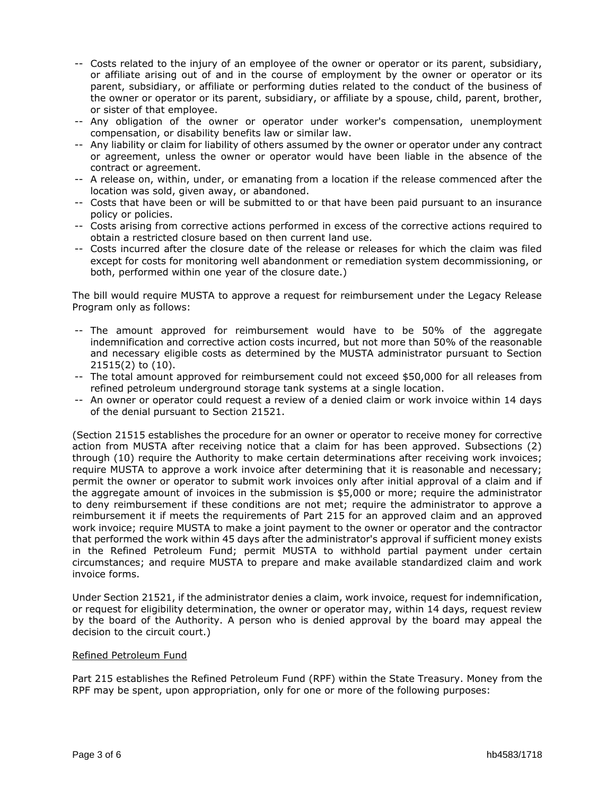- -- Costs related to the injury of an employee of the owner or operator or its parent, subsidiary, or affiliate arising out of and in the course of employment by the owner or operator or its parent, subsidiary, or affiliate or performing duties related to the conduct of the business of the owner or operator or its parent, subsidiary, or affiliate by a spouse, child, parent, brother, or sister of that employee.
- -- Any obligation of the owner or operator under worker's compensation, unemployment compensation, or disability benefits law or similar law.
- -- Any liability or claim for liability of others assumed by the owner or operator under any contract or agreement, unless the owner or operator would have been liable in the absence of the contract or agreement.
- -- A release on, within, under, or emanating from a location if the release commenced after the location was sold, given away, or abandoned.
- -- Costs that have been or will be submitted to or that have been paid pursuant to an insurance policy or policies.
- -- Costs arising from corrective actions performed in excess of the corrective actions required to obtain a restricted closure based on then current land use.
- -- Costs incurred after the closure date of the release or releases for which the claim was filed except for costs for monitoring well abandonment or remediation system decommissioning, or both, performed within one year of the closure date.)

The bill would require MUSTA to approve a request for reimbursement under the Legacy Release Program only as follows:

- -- The amount approved for reimbursement would have to be 50% of the aggregate indemnification and corrective action costs incurred, but not more than 50% of the reasonable and necessary eligible costs as determined by the MUSTA administrator pursuant to Section 21515(2) to (10).
- -- The total amount approved for reimbursement could not exceed \$50,000 for all releases from refined petroleum underground storage tank systems at a single location.
- -- An owner or operator could request a review of a denied claim or work invoice within 14 days of the denial pursuant to Section 21521.

(Section 21515 establishes the procedure for an owner or operator to receive money for corrective action from MUSTA after receiving notice that a claim for has been approved. Subsections (2) through (10) require the Authority to make certain determinations after receiving work invoices; require MUSTA to approve a work invoice after determining that it is reasonable and necessary; permit the owner or operator to submit work invoices only after initial approval of a claim and if the aggregate amount of invoices in the submission is \$5,000 or more; require the administrator to deny reimbursement if these conditions are not met; require the administrator to approve a reimbursement it if meets the requirements of Part 215 for an approved claim and an approved work invoice; require MUSTA to make a joint payment to the owner or operator and the contractor that performed the work within 45 days after the administrator's approval if sufficient money exists in the Refined Petroleum Fund; permit MUSTA to withhold partial payment under certain circumstances; and require MUSTA to prepare and make available standardized claim and work invoice forms.

Under Section 21521, if the administrator denies a claim, work invoice, request for indemnification, or request for eligibility determination, the owner or operator may, within 14 days, request review by the board of the Authority. A person who is denied approval by the board may appeal the decision to the circuit court.)

### Refined Petroleum Fund

Part 215 establishes the Refined Petroleum Fund (RPF) within the State Treasury. Money from the RPF may be spent, upon appropriation, only for one or more of the following purposes: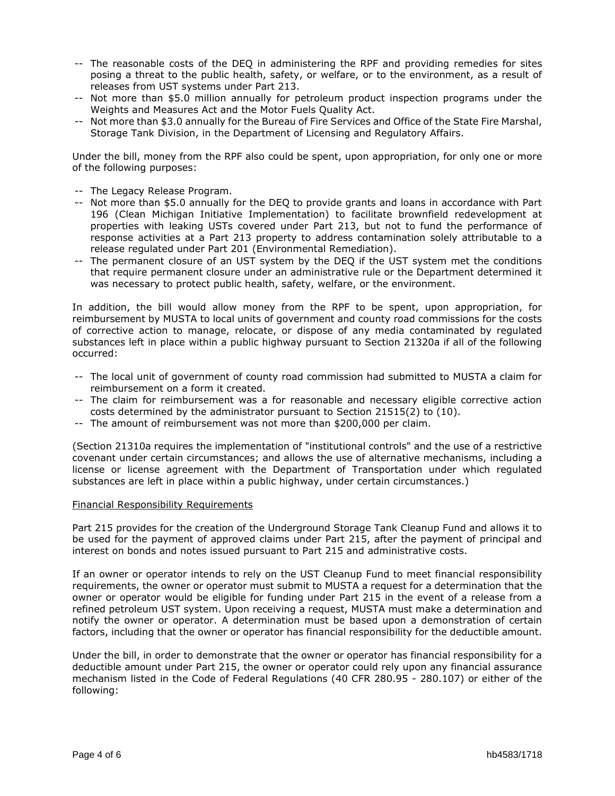- -- The reasonable costs of the DEQ in administering the RPF and providing remedies for sites posing a threat to the public health, safety, or welfare, or to the environment, as a result of releases from UST systems under Part 213.
- -- Not more than \$5.0 million annually for petroleum product inspection programs under the Weights and Measures Act and the Motor Fuels Quality Act.
- -- Not more than \$3.0 annually for the Bureau of Fire Services and Office of the State Fire Marshal, Storage Tank Division, in the Department of Licensing and Regulatory Affairs.

Under the bill, money from the RPF also could be spent, upon appropriation, for only one or more of the following purposes:

- -- The Legacy Release Program.
- -- Not more than \$5.0 annually for the DEQ to provide grants and loans in accordance with Part 196 (Clean Michigan Initiative Implementation) to facilitate brownfield redevelopment at properties with leaking USTs covered under Part 213, but not to fund the performance of response activities at a Part 213 property to address contamination solely attributable to a release regulated under Part 201 (Environmental Remediation).
- -- The permanent closure of an UST system by the DEQ if the UST system met the conditions that require permanent closure under an administrative rule or the Department determined it was necessary to protect public health, safety, welfare, or the environment.

In addition, the bill would allow money from the RPF to be spent, upon appropriation, for reimbursement by MUSTA to local units of government and county road commissions for the costs of corrective action to manage, relocate, or dispose of any media contaminated by regulated substances left in place within a public highway pursuant to Section 21320a if all of the following occurred:

- -- The local unit of government of county road commission had submitted to MUSTA a claim for reimbursement on a form it created.
- -- The claim for reimbursement was a for reasonable and necessary eligible corrective action costs determined by the administrator pursuant to Section 21515(2) to (10).
- -- The amount of reimbursement was not more than \$200,000 per claim.

(Section 21310a requires the implementation of "institutional controls" and the use of a restrictive covenant under certain circumstances; and allows the use of alternative mechanisms, including a license or license agreement with the Department of Transportation under which regulated substances are left in place within a public highway, under certain circumstances.)

#### Financial Responsibility Requirements

Part 215 provides for the creation of the Underground Storage Tank Cleanup Fund and allows it to be used for the payment of approved claims under Part 215, after the payment of principal and interest on bonds and notes issued pursuant to Part 215 and administrative costs.

If an owner or operator intends to rely on the UST Cleanup Fund to meet financial responsibility requirements, the owner or operator must submit to MUSTA a request for a determination that the owner or operator would be eligible for funding under Part 215 in the event of a release from a refined petroleum UST system. Upon receiving a request, MUSTA must make a determination and notify the owner or operator. A determination must be based upon a demonstration of certain factors, including that the owner or operator has financial responsibility for the deductible amount.

Under the bill, in order to demonstrate that the owner or operator has financial responsibility for a deductible amount under Part 215, the owner or operator could rely upon any financial assurance mechanism listed in the Code of Federal Regulations (40 CFR 280.95 - 280.107) or either of the following: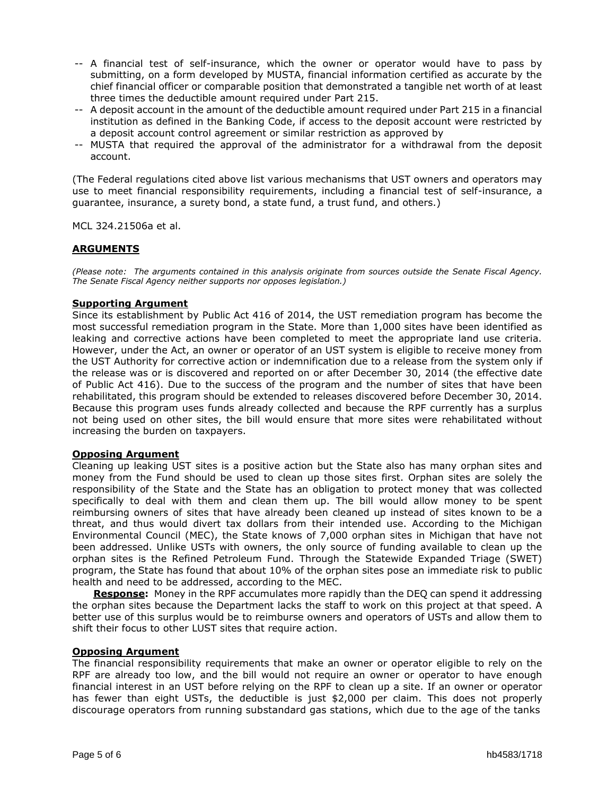- -- A financial test of self-insurance, which the owner or operator would have to pass by submitting, on a form developed by MUSTA, financial information certified as accurate by the chief financial officer or comparable position that demonstrated a tangible net worth of at least three times the deductible amount required under Part 215.
- -- A deposit account in the amount of the deductible amount required under Part 215 in a financial institution as defined in the Banking Code, if access to the deposit account were restricted by a deposit account control agreement or similar restriction as approved by
- -- MUSTA that required the approval of the administrator for a withdrawal from the deposit account.

(The Federal regulations cited above list various mechanisms that UST owners and operators may use to meet financial responsibility requirements, including a financial test of self-insurance, a guarantee, insurance, a surety bond, a state fund, a trust fund, and others.)

MCL 324.21506a et al.

### **ARGUMENTS**

*(Please note: The arguments contained in this analysis originate from sources outside the Senate Fiscal Agency. The Senate Fiscal Agency neither supports nor opposes legislation.)*

### **Supporting Argument**

Since its establishment by Public Act 416 of 2014, the UST remediation program has become the most successful remediation program in the State. More than 1,000 sites have been identified as leaking and corrective actions have been completed to meet the appropriate land use criteria. However, under the Act, an owner or operator of an UST system is eligible to receive money from the UST Authority for corrective action or indemnification due to a release from the system only if the release was or is discovered and reported on or after December 30, 2014 (the effective date of Public Act 416). Due to the success of the program and the number of sites that have been rehabilitated, this program should be extended to releases discovered before December 30, 2014. Because this program uses funds already collected and because the RPF currently has a surplus not being used on other sites, the bill would ensure that more sites were rehabilitated without increasing the burden on taxpayers.

#### **Opposing Argument**

Cleaning up leaking UST sites is a positive action but the State also has many orphan sites and money from the Fund should be used to clean up those sites first. Orphan sites are solely the responsibility of the State and the State has an obligation to protect money that was collected specifically to deal with them and clean them up. The bill would allow money to be spent reimbursing owners of sites that have already been cleaned up instead of sites known to be a threat, and thus would divert tax dollars from their intended use. According to the Michigan Environmental Council (MEC), the State knows of 7,000 orphan sites in Michigan that have not been addressed. Unlike USTs with owners, the only source of funding available to clean up the orphan sites is the Refined Petroleum Fund. Through the Statewide Expanded Triage (SWET) program, the State has found that about 10% of the orphan sites pose an immediate risk to public health and need to be addressed, according to the MEC.

**Response:** Money in the RPF accumulates more rapidly than the DEQ can spend it addressing the orphan sites because the Department lacks the staff to work on this project at that speed. A better use of this surplus would be to reimburse owners and operators of USTs and allow them to shift their focus to other LUST sites that require action.

### **Opposing Argument**

The financial responsibility requirements that make an owner or operator eligible to rely on the RPF are already too low, and the bill would not require an owner or operator to have enough financial interest in an UST before relying on the RPF to clean up a site. If an owner or operator has fewer than eight USTs, the deductible is just \$2,000 per claim. This does not properly discourage operators from running substandard gas stations, which due to the age of the tanks